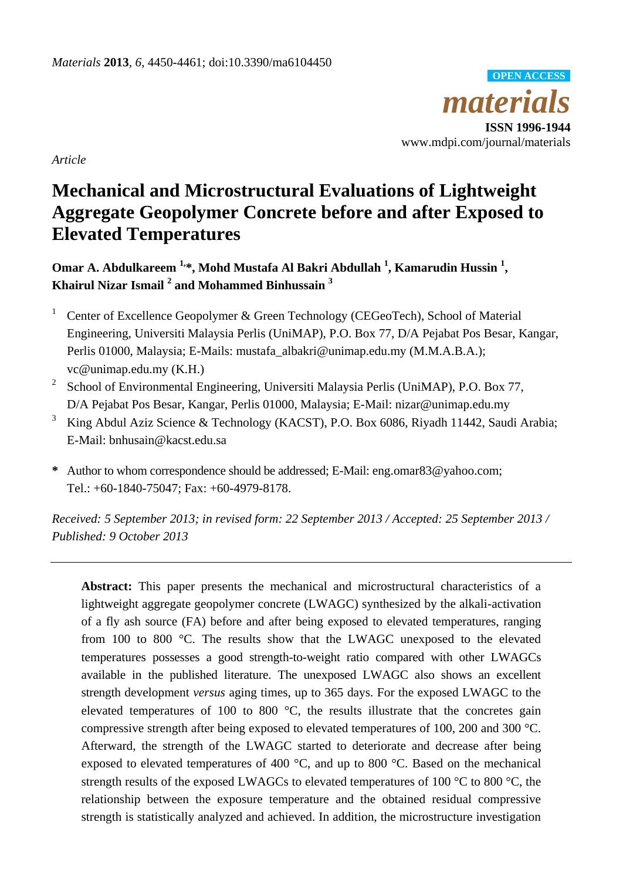*materials* **ISSN 1996-1944** www.mdpi.com/journal/materials **OPEN ACCESS**

*Article*

# **Mechanical and Microstructural Evaluations of Lightweight Aggregate Geopolymer Concrete before and after Exposed to Elevated Temperatures**

**Omar A. Abdulkareem 1,\*, Mohd Mustafa Al Bakri Abdullah <sup>1</sup> , Kamarudin Hussin <sup>1</sup> , Khairul Nizar Ismail <sup>2</sup> and Mohammed Binhussain <sup>3</sup>**

- <sup>1</sup> Center of Excellence Geopolymer & Green Technology (CEGeoTech), School of Material Engineering, Universiti Malaysia Perlis (UniMAP), P.O. Box 77, D/A Pejabat Pos Besar, Kangar, Perlis 01000, Malaysia; E-Mails: mustafa\_albakri@unimap.edu.my (M.M.A.B.A.); vc@unimap.edu.my (K.H.)
- 2 School of Environmental Engineering, Universiti Malaysia Perlis (UniMAP), P.O. Box 77, D/A Pejabat Pos Besar, Kangar, Perlis 01000, Malaysia; E-Mail: nizar@unimap.edu.my
- <sup>3</sup> King Abdul Aziz Science & Technology (KACST), P.O. Box 6086, Riyadh 11442, Saudi Arabia; E-Mail: bnhusain@kacst.edu.sa
- **\*** Author to whom correspondence should be addressed; E-Mail: [eng.omar83@yahoo.com;](mailto:eng.omar83@yahoo.com) Tel.: [+60-1840-75047;](Tel:+60184075047) Fax: +60-4979-8178.

*Received: 5 September 2013; in revised form: 22 September 2013 / Accepted: 25 September 2013 / Published: 9 October 2013*

**Abstract:** This paper presents the mechanical and microstructural characteristics of a lightweight aggregate geopolymer concrete (LWAGC) synthesized by the alkali-activation of a fly ash source (FA) before and after being exposed to elevated temperatures, ranging from 100 to 800 °C. The results show that the LWAGC unexposed to the elevated temperatures possesses a good strength-to-weight ratio compared with other LWAGCs available in the published literature. The unexposed LWAGC also shows an excellent strength development *versus* aging times, up to 365 days. For the exposed LWAGC to the elevated temperatures of 100 to 800  $\degree$ C, the results illustrate that the concretes gain compressive strength after being exposed to elevated temperatures of 100, 200 and 300 °C. Afterward, the strength of the LWAGC started to deteriorate and decrease after being exposed to elevated temperatures of 400 °C, and up to 800 °C. Based on the mechanical strength results of the exposed LWAGCs to elevated temperatures of 100  $\degree$ C to 800  $\degree$ C, the relationship between the exposure temperature and the obtained residual compressive strength is statistically analyzed and achieved. In addition, the microstructure investigation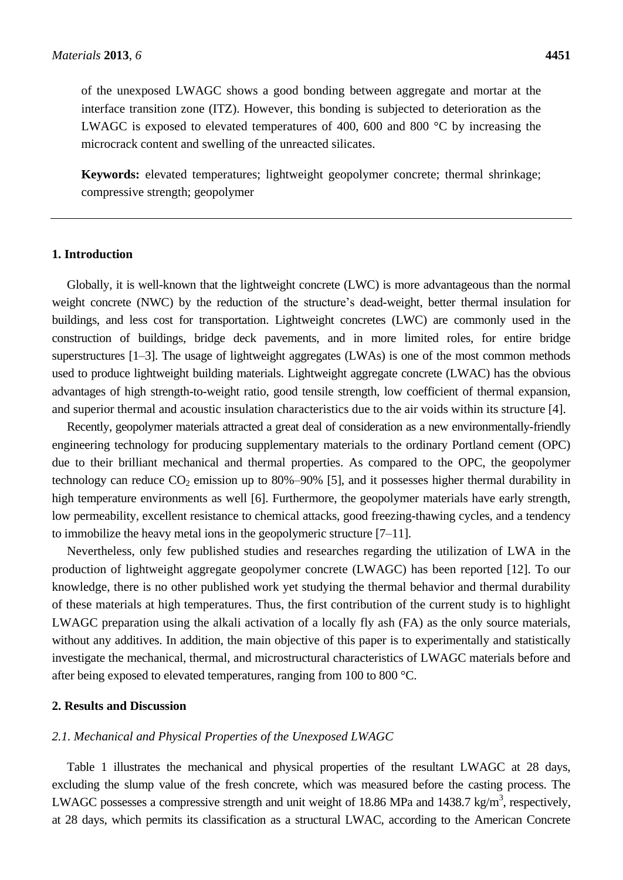of the unexposed LWAGC shows a good bonding between aggregate and mortar at the interface transition zone (ITZ). However, this bonding is subjected to deterioration as the LWAGC is exposed to elevated temperatures of 400, 600 and 800  $\degree$ C by increasing the microcrack content and swelling of the unreacted silicates.

**Keywords:** elevated temperatures; lightweight geopolymer concrete; thermal shrinkage; compressive strength; geopolymer

## **1. Introduction**

Globally, it is well-known that the lightweight concrete (LWC) is more advantageous than the normal weight concrete (NWC) by the reduction of the structure's dead-weight, better thermal insulation for buildings, and less cost for transportation. Lightweight concretes (LWC) are commonly used in the construction of buildings, bridge deck pavements, and in more limited roles, for entire bridge superstructures [1–3]. The usage of lightweight aggregates (LWAs) is one of the most common methods used to produce lightweight building materials. Lightweight aggregate concrete (LWAC) has the obvious advantages of high strength-to-weight ratio, good tensile strength, low coefficient of thermal expansion, and superior thermal and acoustic insulation characteristics due to the air voids within its structure [4].

Recently, geopolymer materials attracted a great deal of consideration as a new environmentally-friendly engineering technology for producing supplementary materials to the ordinary Portland cement (OPC) due to their brilliant mechanical and thermal properties. As compared to the OPC, the geopolymer technology can reduce  $CO_2$  emission up to 80%–90% [5], and it possesses higher thermal durability in high temperature environments as well [6]. Furthermore, the geopolymer materials have early strength, low permeability, excellent resistance to chemical attacks, good freezing-thawing cycles, and a tendency to immobilize the heavy metal ions in the geopolymeric structure [7–11].

Nevertheless, only few published studies and researches regarding the utilization of LWA in the production of lightweight aggregate geopolymer concrete (LWAGC) has been reported [12]. To our knowledge, there is no other published work yet studying the thermal behavior and thermal durability of these materials at high temperatures. Thus, the first contribution of the current study is to highlight LWAGC preparation using the alkali activation of a locally fly ash (FA) as the only source materials, without any additives. In addition, the main objective of this paper is to experimentally and statistically investigate the mechanical, thermal, and microstructural characteristics of LWAGC materials before and after being exposed to elevated temperatures, ranging from 100 to 800 °C.

# **2. Results and Discussion**

#### *2.1. Mechanical and Physical Properties of the Unexposed LWAGC*

Table 1 illustrates the mechanical and physical properties of the resultant LWAGC at 28 days, excluding the slump value of the fresh concrete, which was measured before the casting process. The LWAGC possesses a compressive strength and unit weight of 18.86 MPa and 1438.7 kg/m<sup>3</sup>, respectively, at 28 days, which permits its classification as a structural LWAC, according to the American Concrete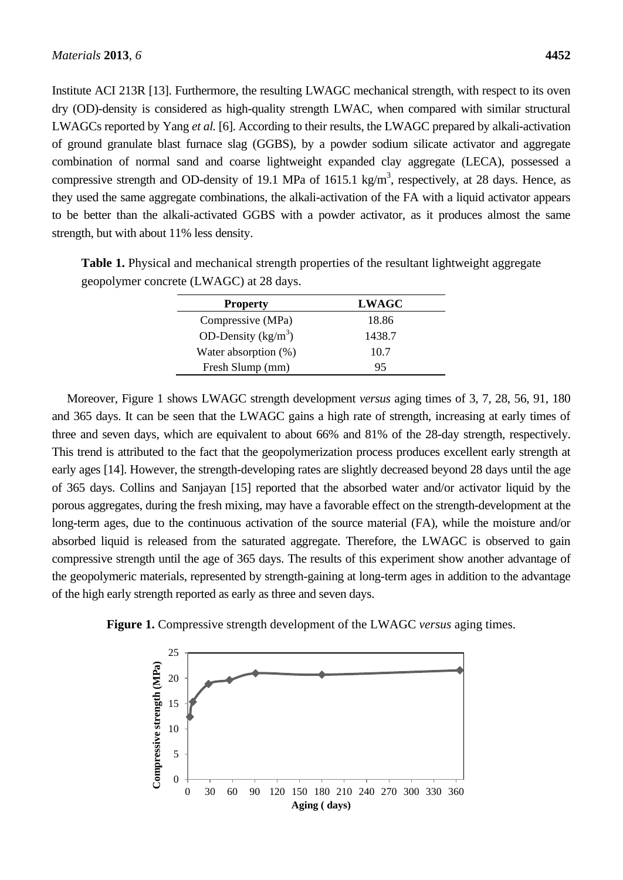Institute ACI 213R [13]. Furthermore, the resulting LWAGC mechanical strength, with respect to its oven dry (OD)-density is considered as high-quality strength LWAC, when compared with similar structural LWAGCs reported by Yang *et al.* [6]. According to their results, the LWAGC prepared by alkali-activation of ground granulate blast furnace slag (GGBS), by a powder sodium silicate activator and aggregate combination of normal sand and coarse lightweight expanded clay aggregate (LECA), possessed a compressive strength and OD-density of 19.1 MPa of 1615.1 kg/m<sup>3</sup>, respectively, at 28 days. Hence, as they used the same aggregate combinations, the alkali-activation of the FA with a liquid activator appears to be better than the alkali-activated GGBS with a powder activator, as it produces almost the same strength, but with about 11% less density.

| <b>Property</b>        | <b>LWAGC</b> |  |
|------------------------|--------------|--|
| Compressive (MPa)      | 18.86        |  |
| OD-Density ( $kg/m3$ ) | 1438.7       |  |
| Water absorption (%)   | 10.7         |  |
| Fresh Slump (mm)       | 95           |  |

**Table 1.** Physical and mechanical strength properties of the resultant lightweight aggregate geopolymer concrete (LWAGC) at 28 days.

Moreover, Figure 1 shows LWAGC strength development *versus* aging times of 3, 7, 28, 56, 91, 180 and 365 days. It can be seen that the LWAGC gains a high rate of strength, increasing at early times of three and seven days, which are equivalent to about 66% and 81% of the 28-day strength, respectively. This trend is attributed to the fact that the geopolymerization process produces excellent early strength at early ages [14]. However, the strength-developing rates are slightly decreased beyond 28 days until the age of 365 days. Collins and Sanjayan [15] reported that the absorbed water and/or activator liquid by the porous aggregates, during the fresh mixing, may have a favorable effect on the strength-development at the long-term ages, due to the continuous activation of the source material (FA), while the moisture and/or absorbed liquid is released from the saturated aggregate. Therefore, the LWAGC is observed to gain compressive strength until the age of 365 days. The results of this experiment show another advantage of the geopolymeric materials, represented by strength-gaining at long-term ages in addition to the advantage of the high early strength reported as early as three and seven days.



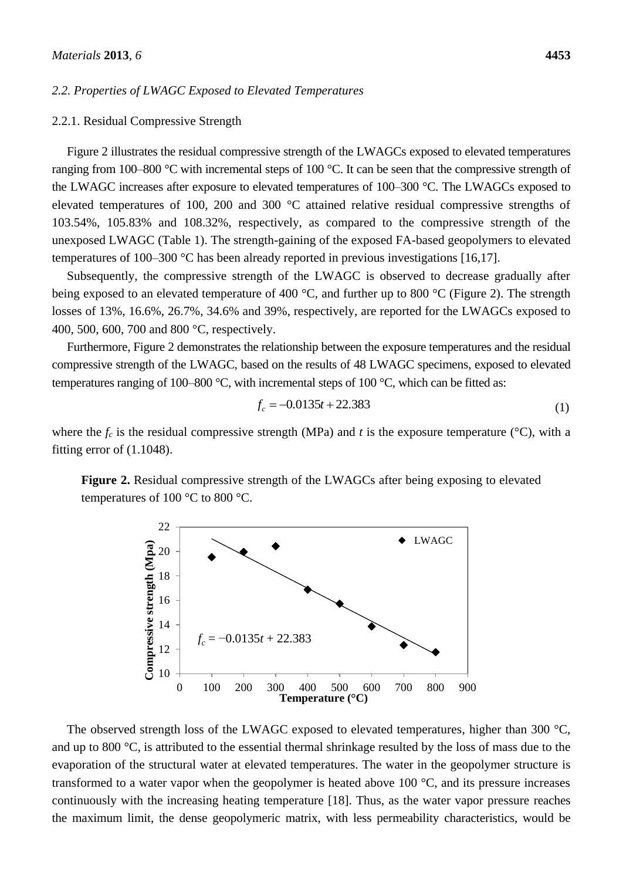#### *2.2. Properties of LWAGC Exposed to Elevated Temperatures*

#### 2.2.1. Residual Compressive Strength

Figure 2 illustrates the residual compressive strength of the LWAGCs exposed to elevated temperatures ranging from 100–800  $\degree$ C with incremental steps of 100  $\degree$ C. It can be seen that the compressive strength of the LWAGC increases after exposure to elevated temperatures of  $100-300$  °C. The LWAGCs exposed to elevated temperatures of 100, 200 and 300  $\mathcal{C}$  attained relative residual compressive strengths of 103.54%, 105.83% and 108.32%, respectively, as compared to the compressive strength of the unexposed LWAGC (Table 1). The strength-gaining of the exposed FA-based geopolymers to elevated temperatures of 100–300  $\mathcal C$  has been already reported in previous investigations [16,17].

Subsequently, the compressive strength of the LWAGC is observed to decrease gradually after being exposed to an elevated temperature of 400 °C, and further up to 800 °C (Figure 2). The strength losses of 13%, 16.6%, 26.7%, 34.6% and 39%, respectively, are reported for the LWAGCs exposed to 400, 500, 600, 700 and 800 °C, respectively.

Furthermore, Figure 2 demonstrates the relationship between the exposure temperatures and the residual compressive strength of the LWAGC, based on the results of 48 LWAGC specimens, exposed to elevated temperatures ranging of 100–800 °C, with incremental steps of 100 °C, which can be fitted as:

$$
f_c = -0.0135t + 22.383\tag{1}
$$

where the  $f_c$  is the residual compressive strength (MPa) and *t* is the exposure temperature ( $\mathcal{C}$ ), with a fitting error of (1.1048).

**Figure 2.** Residual compressive strength of the LWAGCs after being exposing to elevated temperatures of 100  $\degree$ C to 800  $\degree$ C.



The observed strength loss of the LWAGC exposed to elevated temperatures, higher than 300  $\mathcal{C}$ , and up to 800  $\degree$ C, is attributed to the essential thermal shrinkage resulted by the loss of mass due to the evaporation of the structural water at elevated temperatures. The water in the geopolymer structure is transformed to a water vapor when the geopolymer is heated above 100  $\degree$ C, and its pressure increases continuously with the increasing heating temperature [18]. Thus, as the water vapor pressure reaches the maximum limit, the dense geopolymeric matrix, with less permeability characteristics, would be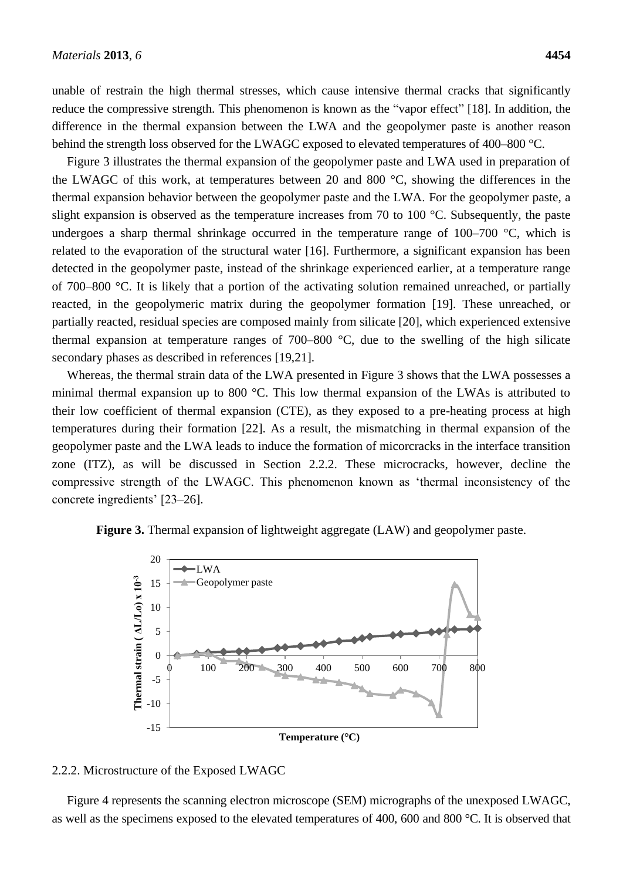unable of restrain the high thermal stresses, which cause intensive thermal cracks that significantly reduce the compressive strength. This phenomenon is known as the "vapor effect" [18]. In addition, the difference in the thermal expansion between the LWA and the geopolymer paste is another reason behind the strength loss observed for the LWAGC exposed to elevated temperatures of 400–800 °C.

Figure 3 illustrates the thermal expansion of the geopolymer paste and LWA used in preparation of the LWAGC of this work, at temperatures between 20 and 800  $\degree$ C, showing the differences in the thermal expansion behavior between the geopolymer paste and the LWA. For the geopolymer paste, a slight expansion is observed as the temperature increases from 70 to 100  $\degree$ C. Subsequently, the paste undergoes a sharp thermal shrinkage occurred in the temperature range of  $100-700$  °C, which is related to the evaporation of the structural water [16]. Furthermore, a significant expansion has been detected in the geopolymer paste, instead of the shrinkage experienced earlier, at a temperature range of 700–800 °C. It is likely that a portion of the activating solution remained unreached, or partially reacted, in the geopolymeric matrix during the geopolymer formation [19]. These unreached, or partially reacted, residual species are composed mainly from silicate [20], which experienced extensive thermal expansion at temperature ranges of  $700-800$  °C, due to the swelling of the high silicate secondary phases as described in references [19,21].

Whereas, the thermal strain data of the LWA presented in Figure 3 shows that the LWA possesses a minimal thermal expansion up to 800 °C. This low thermal expansion of the LWAs is attributed to their low coefficient of thermal expansion (CTE), as they exposed to a pre-heating process at high temperatures during their formation [22]. As a result, the mismatching in thermal expansion of the geopolymer paste and the LWA leads to induce the formation of micorcracks in the interface transition zone (ITZ), as will be discussed in Section 2.2.2. These microcracks, however, decline the compressive strength of the LWAGC. This phenomenon known as 'thermal inconsistency of the concrete ingredients' [23–26].

**Figure 3.** Thermal expansion of lightweight aggregate (LAW) and geopolymer paste.



## 2.2.2. Microstructure of the Exposed LWAGC

Figure 4 represents the scanning electron microscope (SEM) micrographs of the unexposed LWAGC, as well as the specimens exposed to the elevated temperatures of 400, 600 and 800 °C. It is observed that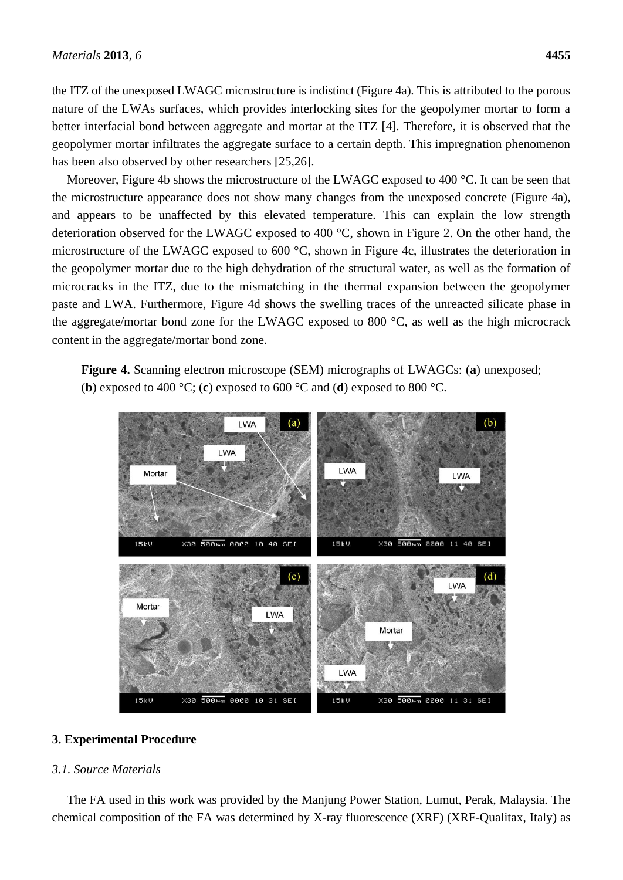the ITZ of the unexposed LWAGC microstructure is indistinct (Figure 4a). This is attributed to the porous nature of the LWAs surfaces, which provides interlocking sites for the geopolymer mortar to form a better interfacial bond between aggregate and mortar at the ITZ [4]. Therefore, it is observed that the geopolymer mortar infiltrates the aggregate surface to a certain depth. This impregnation phenomenon has been also observed by other researchers [25,26].

Moreover, Figure 4b shows the microstructure of the LWAGC exposed to 400 °C. It can be seen that the microstructure appearance does not show many changes from the unexposed concrete (Figure 4a), and appears to be unaffected by this elevated temperature. This can explain the low strength deterioration observed for the LWAGC exposed to 400 °C, shown in Figure 2. On the other hand, the microstructure of the LWAGC exposed to 600 °C, shown in Figure 4c, illustrates the deterioration in the geopolymer mortar due to the high dehydration of the structural water, as well as the formation of microcracks in the ITZ, due to the mismatching in the thermal expansion between the geopolymer paste and LWA. Furthermore, Figure 4d shows the swelling traces of the unreacted silicate phase in the aggregate/mortar bond zone for the LWAGC exposed to 800  $\degree$ C, as well as the high microcrack content in the aggregate/mortar bond zone.

**Figure 4.** Scanning electron microscope (SEM) micrographs of LWAGCs: (**a**) unexposed; (**b**) exposed to 400 °C; (**c**) exposed to 600 °C and (**d**) exposed to 800 °C.



# **3. Experimental Procedure**

## *3.1. Source Materials*

The FA used in this work was provided by the Manjung Power Station, Lumut, Perak, Malaysia. The chemical composition of the FA was determined by X-ray fluorescence (XRF) (XRF-Qualitax, Italy) as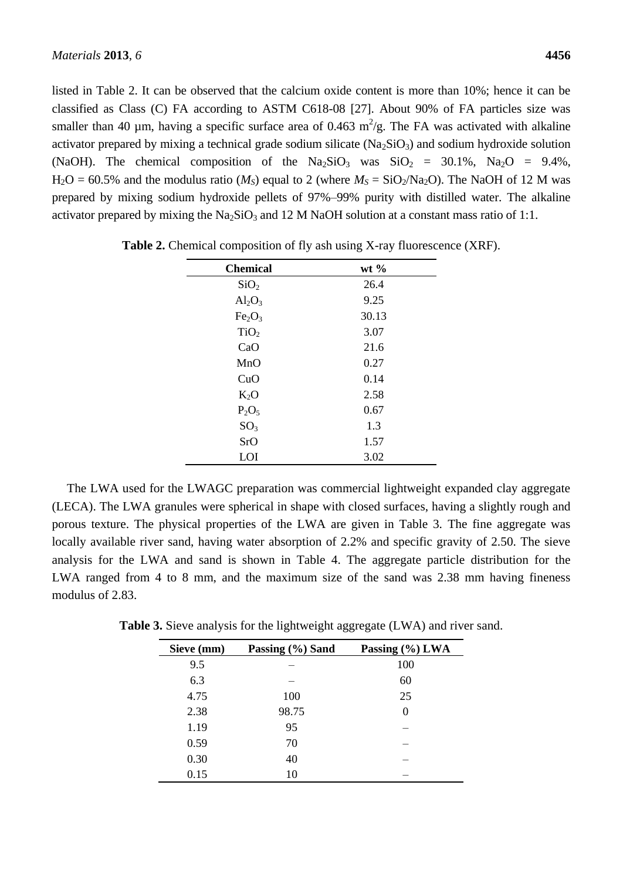listed in Table 2. It can be observed that the calcium oxide content is more than 10%; hence it can be classified as Class (C) FA according to ASTM C618-08 [27]. About 90% of FA particles size was smaller than 40  $\mu$ m, having a specific surface area of 0.463 m<sup>2</sup>/g. The FA was activated with alkaline activator prepared by mixing a technical grade sodium silicate  $(Na_2SiO_3)$  and sodium hydroxide solution (NaOH). The chemical composition of the  $Na_2SiO_3$  was  $SiO_2 = 30.1\%$ ,  $Na_2O = 9.4\%$ ,  $H_2O = 60.5\%$  and the modulus ratio ( $M_S$ ) equal to 2 (where  $M_S = SiO_2/Na_2O$ ). The NaOH of 12 M was prepared by mixing sodium hydroxide pellets of 97%–99% purity with distilled water. The alkaline activator prepared by mixing the  $Na<sub>2</sub>SiO<sub>3</sub>$  and 12 M NaOH solution at a constant mass ratio of 1:1.

| <b>Chemical</b>                | wt $\%$ |
|--------------------------------|---------|
| SiO <sub>2</sub>               | 26.4    |
| $Al_2O_3$                      | 9.25    |
| Fe <sub>2</sub> O <sub>3</sub> | 30.13   |
| TiO <sub>2</sub>               | 3.07    |
| CaO                            | 21.6    |
| MnO                            | 0.27    |
| CuO                            | 0.14    |
| $K_2O$                         | 2.58    |
| $P_2O_5$                       | 0.67    |
| SO <sub>3</sub>                | 1.3     |
| <b>SrO</b>                     | 1.57    |
| LOI                            | 3.02    |

**Table 2.** Chemical composition of fly ash using X-ray fluorescence (XRF).

The LWA used for the LWAGC preparation was commercial lightweight expanded clay aggregate (LECA). The LWA granules were spherical in shape with closed surfaces, having a slightly rough and porous texture. The physical properties of the LWA are given in Table 3. The fine aggregate was locally available river sand, having water absorption of 2.2% and specific gravity of 2.50. The sieve analysis for the LWA and sand is shown in Table 4. The aggregate particle distribution for the LWA ranged from 4 to 8 mm, and the maximum size of the sand was 2.38 mm having fineness modulus of 2.83.

| Sieve (mm) | Passing (%) Sand | Passing (%) LWA |
|------------|------------------|-----------------|
| 9.5        |                  | 100             |
| 6.3        |                  | 60              |
| 4.75       | 100              | 25              |
| 2.38       | 98.75            | $\theta$        |
| 1.19       | 95               |                 |
| 0.59       | 70               |                 |
| 0.30       | 40               |                 |
| 0.15       | 10               |                 |

**Table 3.** Sieve analysis for the lightweight aggregate (LWA) and river sand.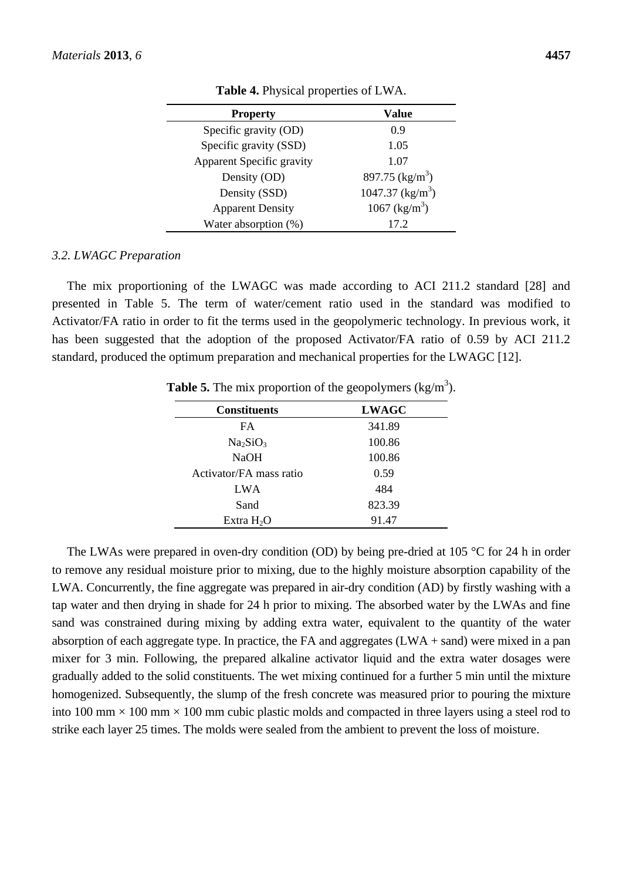| <b>Property</b>           | <b>Value</b>               |
|---------------------------|----------------------------|
| Specific gravity (OD)     | 0.9                        |
| Specific gravity (SSD)    | 1.05                       |
| Apparent Specific gravity | 1.07                       |
| Density (OD)              | 897.75 ( $\text{kg/m}^3$ ) |
| Density (SSD)             | 1047.37 $(kg/m^3)$         |
| <b>Apparent Density</b>   | 1067 (kg/m <sup>3</sup> )  |
| Water absorption (%)      | 172                        |

**Table 4.** Physical properties of LWA.

#### *3.2. LWAGC Preparation*

The mix proportioning of the LWAGC was made according to ACI 211.2 standard [28] and presented in Table 5. The term of water/cement ratio used in the standard was modified to Activator/FA ratio in order to fit the terms used in the geopolymeric technology. In previous work, it has been suggested that the adoption of the proposed Activator/FA ratio of 0.59 by ACI 211.2 standard, produced the optimum preparation and mechanical properties for the LWAGC [12].

| <b>Constituents</b>              | <b>LWAGC</b> |
|----------------------------------|--------------|
| FA.                              | 341.89       |
| Na <sub>2</sub> SiO <sub>3</sub> | 100.86       |
| <b>NaOH</b>                      | 100.86       |
| Activator/FA mass ratio          | 0.59         |
| LWA                              | 484          |
| Sand                             | 823.39       |
| Extra $H_2O$                     | 91.47        |

**Table 5.** The mix proportion of the geopolymers  $(kg/m<sup>3</sup>)$ .

The LWAs were prepared in oven-dry condition (OD) by being pre-dried at 105  $\degree$  C for 24 h in order to remove any residual moisture prior to mixing, due to the highly moisture absorption capability of the LWA. Concurrently, the fine aggregate was prepared in air-dry condition (AD) by firstly washing with a tap water and then drying in shade for 24 h prior to mixing. The absorbed water by the LWAs and fine sand was constrained during mixing by adding extra water, equivalent to the quantity of the water absorption of each aggregate type. In practice, the FA and aggregates (LWA + sand) were mixed in a pan mixer for 3 min. Following, the prepared alkaline activator liquid and the extra water dosages were gradually added to the solid constituents. The wet mixing continued for a further 5 min until the mixture homogenized. Subsequently, the slump of the fresh concrete was measured prior to pouring the mixture into 100 mm  $\times$  100 mm  $\times$  100 mm cubic plastic molds and compacted in three layers using a steel rod to strike each layer 25 times. The molds were sealed from the ambient to prevent the loss of moisture.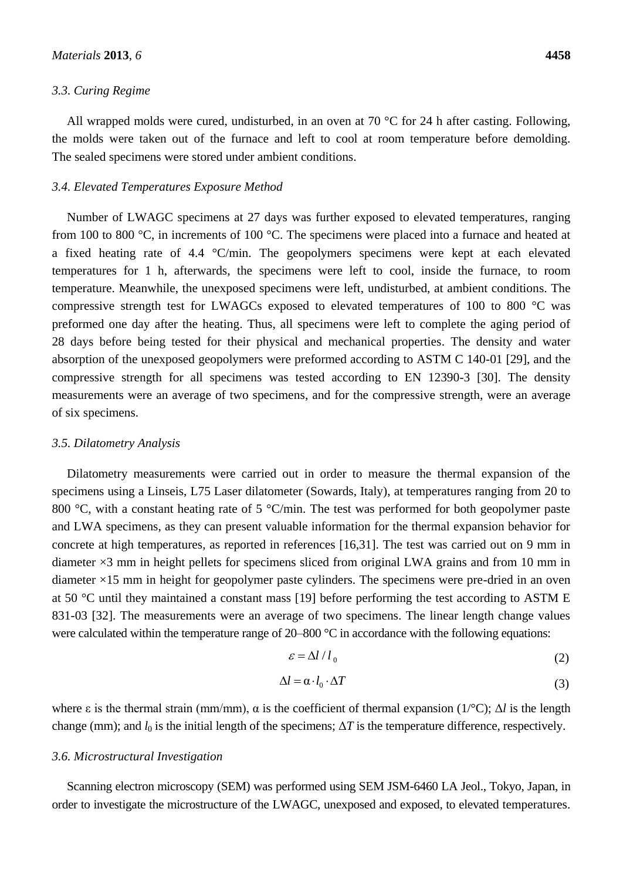#### *3.3. Curing Regime*

All wrapped molds were cured, undisturbed, in an oven at 70  $\degree$  C for 24 h after casting. Following, the molds were taken out of the furnace and left to cool at room temperature before demolding. The sealed specimens were stored under ambient conditions.

#### *3.4. Elevated Temperatures Exposure Method*

Number of LWAGC specimens at 27 days was further exposed to elevated temperatures, ranging from 100 to 800 °C, in increments of 100 °C. The specimens were placed into a furnace and heated at a fixed heating rate of 4.4 °C/min. The geopolymers specimens were kept at each elevated temperatures for 1 h, afterwards, the specimens were left to cool, inside the furnace, to room temperature. Meanwhile, the unexposed specimens were left, undisturbed, at ambient conditions. The compressive strength test for LWAGCs exposed to elevated temperatures of 100 to 800  $\degree$ C was preformed one day after the heating. Thus, all specimens were left to complete the aging period of 28 days before being tested for their physical and mechanical properties. The density and water absorption of the unexposed geopolymers were preformed according to ASTM C 140-01 [29], and the compressive strength for all specimens was tested according to EN 12390-3 [30]. The density measurements were an average of two specimens, and for the compressive strength, were an average of six specimens.

## *3.5. Dilatometry Analysis*

Dilatometry measurements were carried out in order to measure the thermal expansion of the specimens using a Linseis, L75 Laser dilatometer (Sowards, Italy), at temperatures ranging from 20 to 800 °C, with a constant heating rate of 5 °C/min. The test was performed for both geopolymer paste and LWA specimens, as they can present valuable information for the thermal expansion behavior for concrete at high temperatures, as reported in references [16,31]. The test was carried out on 9 mm in diameter  $\times$ 3 mm in height pellets for specimens sliced from original LWA grains and from 10 mm in diameter ×15 mm in height for geopolymer paste cylinders. The specimens were pre-dried in an oven at 50 °C until they maintained a constant mass [19] before performing the test according to ASTM E 831-03 [32]. The measurements were an average of two specimens. The linear length change values were calculated within the temperature range of  $20-800$  °C in accordance with the following equations:

$$
\varepsilon = \Delta l / l_0 \tag{2}
$$

$$
\Delta l = \alpha \cdot l_0 \cdot \Delta T \tag{3}
$$

where  $\varepsilon$  is the thermal strain (mm/mm),  $\alpha$  is the coefficient of thermal expansion (1/°C);  $\Delta l$  is the length change (mm); and  $l_0$  is the initial length of the specimens;  $\Delta T$  is the temperature difference, respectively.

#### *3.6. Microstructural Investigation*

Scanning electron microscopy (SEM) was performed using SEM JSM-6460 LA Jeol., Tokyo, Japan, in order to investigate the microstructure of the LWAGC, unexposed and exposed, to elevated temperatures.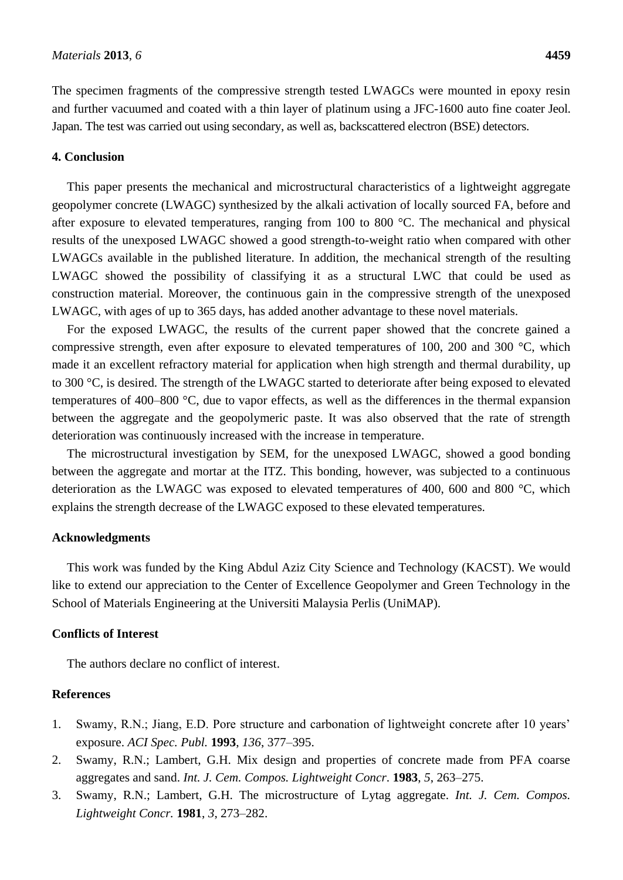The specimen fragments of the compressive strength tested LWAGCs were mounted in epoxy resin and further vacuumed and coated with a thin layer of platinum using a JFC-1600 auto fine coater Jeol. Japan. The test was carried out using secondary, as well as, backscattered electron (BSE) detectors.

# **4. Conclusion**

This paper presents the mechanical and microstructural characteristics of a lightweight aggregate geopolymer concrete (LWAGC) synthesized by the alkali activation of locally sourced FA, before and after exposure to elevated temperatures, ranging from 100 to 800 °C. The mechanical and physical results of the unexposed LWAGC showed a good strength-to-weight ratio when compared with other LWAGCs available in the published literature. In addition, the mechanical strength of the resulting LWAGC showed the possibility of classifying it as a structural LWC that could be used as construction material. Moreover, the continuous gain in the compressive strength of the unexposed LWAGC, with ages of up to 365 days, has added another advantage to these novel materials.

For the exposed LWAGC, the results of the current paper showed that the concrete gained a compressive strength, even after exposure to elevated temperatures of 100, 200 and 300 °C, which made it an excellent refractory material for application when high strength and thermal durability, up to 300 °C, is desired. The strength of the LWAGC started to deteriorate after being exposed to elevated temperatures of 400–800 °C, due to vapor effects, as well as the differences in the thermal expansion between the aggregate and the geopolymeric paste. It was also observed that the rate of strength deterioration was continuously increased with the increase in temperature.

The microstructural investigation by SEM, for the unexposed LWAGC, showed a good bonding between the aggregate and mortar at the ITZ. This bonding, however, was subjected to a continuous deterioration as the LWAGC was exposed to elevated temperatures of 400, 600 and 800 °C, which explains the strength decrease of the LWAGC exposed to these elevated temperatures.

## **Acknowledgments**

This work was funded by the King Abdul Aziz City Science and Technology (KACST). We would like to extend our appreciation to the Center of Excellence Geopolymer and Green Technology in the School of Materials Engineering at the Universiti Malaysia Perlis (UniMAP).

#### **Conflicts of Interest**

The authors declare no conflict of interest.

# **References**

- 1. Swamy, R.N.; Jiang, E.D. Pore structure and carbonation of lightweight concrete after 10 years' exposure. *ACI Spec. Publ.* **1993**, *136*, 377–395.
- 2. Swamy, R.N.; Lambert, G.H. Mix design and properties of concrete made from PFA coarse aggregates and sand. *Int. J. Cem. Compos. Lightweight Concr*. **1983**, *5*, 263–275.
- 3. Swamy, R.N.; Lambert, G.H. The microstructure of Lytag aggregate. *Int. J. Cem. Compos. Lightweight Concr.* **1981**, *3*, 273–282.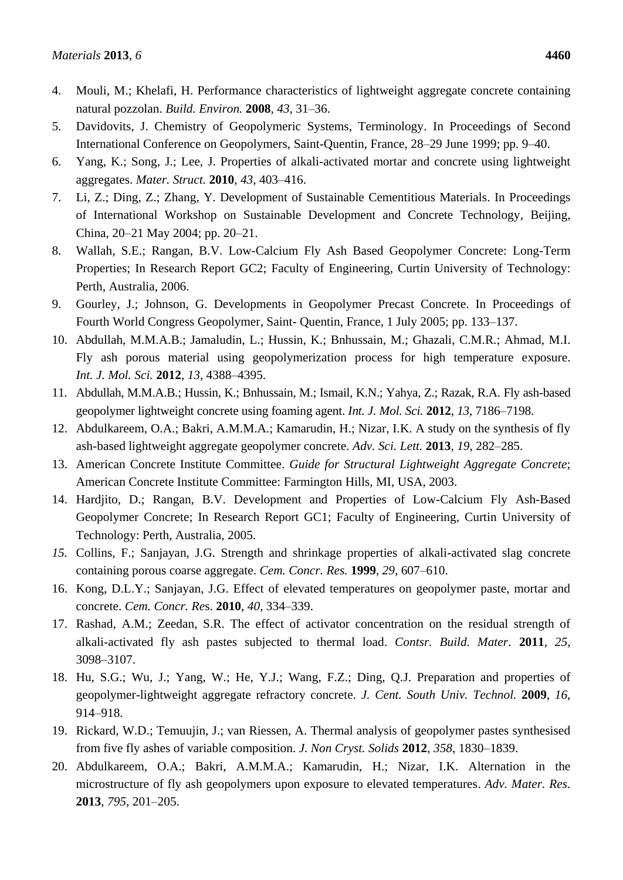- 4. Mouli, M.; Khelafi, H. Performance characteristics of lightweight aggregate concrete containing natural pozzolan. *Build. Environ.* **2008**, *43*, 31–36.
- 5. Davidovits, J. Chemistry of Geopolymeric Systems, Terminology. In Proceedings of Second International Conference on Geopolymers, Saint-Quentin, France, 28–29 June 1999; pp. 9–40.
- 6. Yang, K.; Song, J.; Lee, J. Properties of alkali-activated mortar and concrete using lightweight aggregates. *Mater. Struct.* **2010**, *43*, 403–416.
- 7. Li, Z.; Ding, Z.; Zhang, Y. Development of Sustainable Cementitious Materials. In Proceedings of International Workshop on Sustainable Development and Concrete Technology, Beijing, China, 20–21 May 2004; pp. 20–21.
- 8. Wallah, S.E.; Rangan, B.V. Low-Calcium Fly Ash Based Geopolymer Concrete: Long-Term Properties; In Research Report GC2; Faculty of Engineering, Curtin University of Technology: Perth, Australia, 2006.
- 9. Gourley, J.; Johnson, G. Developments in Geopolymer Precast Concrete. In Proceedings of Fourth World Congress Geopolymer, Saint- Quentin, France, 1 July 2005; pp. 133–137.
- 10. Abdullah, M.M.A.B.; Jamaludin, L.; Hussin, K.; Bnhussain, M.; Ghazali, C.M.R.; Ahmad, M.I. Fly ash porous material using geopolymerization process for high temperature exposure. *Int. J. Mol. Sci.* **2012**, *13*, 4388–4395.
- 11. Abdullah, M.M.A.B.; Hussin, K.; Bnhussain, M.; Ismail, K.N.; Yahya, Z.; Razak, R.A. Fly ash-based geopolymer lightweight concrete using foaming agent. *Int. J. Mol. Sci.* **2012**, *13*, 7186–7198.
- 12. Abdulkareem, O.A.; Bakri, A.M.M.A.; Kamarudin, H.; Nizar, I.K. A study on the synthesis of fly ash-based lightweight aggregate geopolymer concrete. *[Adv. Sci. Lett.](http://www.ingentaconnect.com/content/asp/asl;jsessionid=kzfynivcc4sn.alexandra)* **2013**, *19*, 282–285.
- 13. American Concrete Institute Committee. *Guide for Structural Lightweight Aggregate Concrete*; American Concrete Institute Committee: Farmington Hills, MI, USA, 2003.
- 14. Hardjito, D.; Rangan, B.V. Development and Properties of Low-Calcium Fly Ash-Based Geopolymer Concrete; In Research Report GC1; Faculty of Engineering, Curtin University of Technology: Perth, Australia, 2005.
- *15.* Collins, F.; Sanjayan, J.G. Strength and shrinkage properties of alkali-activated slag concrete containing porous coarse aggregate. *Cem. Concr. Res.* **1999**, *29*, 607–610.
- 16. Kong, D.L.Y.; Sanjayan, J.G. Effect of elevated temperatures on geopolymer paste, mortar and concrete. *Cem. Concr. Re*s. **2010**, *40*, 334–339.
- 17. Rashad, A.M.; Zeedan, S.R. The effect of activator concentration on the residual strength of alkali-activated fly ash pastes subjected to thermal load. *Contsr. Build. Mater*. **2011**, *25*, 3098–3107.
- 18. Hu, S.G.; Wu, J.; Yang, W.; He, Y.J.; Wang, F.Z.; Ding, Q.J. Preparation and properties of geopolymer-lightweight aggregate refractory concrete. *J. Cent. South Univ. Technol.* **2009**, *16*, 914–918.
- 19. Rickard, W.D.; Temuujin, J.; van Riessen, A. Thermal analysis of geopolymer pastes synthesised from five fly ashes of variable composition. *J. Non Cryst. Solids* **2012**, *358*, 1830–1839.
- 20. Abdulkareem, O.A.; Bakri, A.M.M.A.; Kamarudin, H.; Nizar, I.K. Alternation in the microstructure of fly ash geopolymers upon exposure to elevated temperatures. *Adv. Mater. Res.* **2013**, *795*, 201–205.